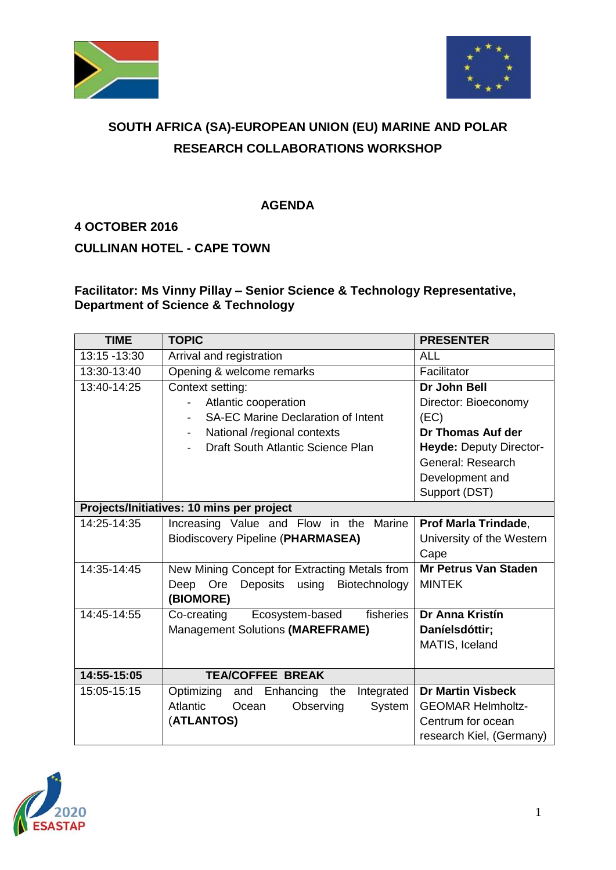



## **SOUTH AFRICA (SA)-EUROPEAN UNION (EU) MARINE AND POLAR RESEARCH COLLABORATIONS WORKSHOP**

## **AGENDA**

## **4 OCTOBER 2016**

**CULLINAN HOTEL - CAPE TOWN**

## **Facilitator: Ms Vinny Pillay – Senior Science & Technology Representative, Department of Science & Technology**

| <b>TIME</b>                               | <b>TOPIC</b>                                        | <b>PRESENTER</b>            |
|-------------------------------------------|-----------------------------------------------------|-----------------------------|
| 13:15 - 13:30                             | Arrival and registration                            | <b>ALL</b>                  |
| 13:30-13:40                               | Opening & welcome remarks                           | Facilitator                 |
| 13:40-14:25                               | Context setting:                                    | Dr John Bell                |
|                                           | Atlantic cooperation                                | Director: Bioeconomy        |
|                                           | <b>SA-EC Marine Declaration of Intent</b>           | (EC)                        |
|                                           | National /regional contexts<br>$\blacksquare$       | Dr Thomas Auf der           |
|                                           | Draft South Atlantic Science Plan                   | Heyde: Deputy Director-     |
|                                           |                                                     | General: Research           |
|                                           |                                                     | Development and             |
|                                           |                                                     | Support (DST)               |
| Projects/Initiatives: 10 mins per project |                                                     |                             |
| 14:25-14:35                               | Increasing Value and Flow in the<br>Marine          | Prof Marla Trindade,        |
|                                           | <b>Biodiscovery Pipeline (PHARMASEA)</b>            | University of the Western   |
|                                           |                                                     | Cape                        |
| 14:35-14:45                               | New Mining Concept for Extracting Metals from       | <b>Mr Petrus Van Staden</b> |
|                                           | Deposits<br>Ore<br>using<br>Biotechnology<br>Deep   | <b>MINTEK</b>               |
|                                           | (BIOMORE)                                           |                             |
| 14:45-14:55                               | Co-creating<br>fisheries<br>Ecosystem-based         | Dr Anna Kristín             |
|                                           | Management Solutions (MAREFRAME)                    | Daníelsdóttir;              |
|                                           |                                                     | MATIS, Iceland              |
|                                           |                                                     |                             |
| 14:55-15:05                               | <b>TEA/COFFEE BREAK</b>                             |                             |
| 15:05-15:15                               | Optimizing<br>and<br>Enhancing<br>Integrated<br>the | <b>Dr Martin Visbeck</b>    |
|                                           | Atlantic<br>Observing<br>System<br>Ocean            | <b>GEOMAR Helmholtz-</b>    |
|                                           | (ATLANTOS)                                          | Centrum for ocean           |
|                                           |                                                     | research Kiel, (Germany)    |